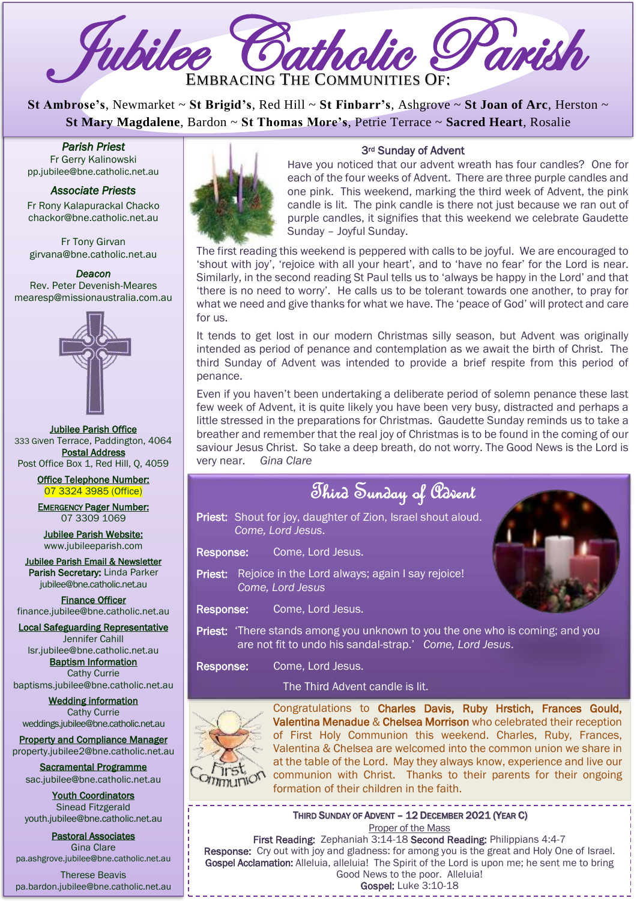

**St Ambrose's**, Newmarket ~ **St Brigid's**, Red Hill ~ **St Finbarr's**, Ashgrove ~ **St Joan of Arc**, Herston ~ **St Mary Magdalene**, Bardon ~ **St Thomas More's**, Petrie Terrace ~ **Sacred Heart**, Rosalie

*Parish Priest*  Fr Gerry Kalinowski [pp.jubilee@bne.catholic.net.au](mailto:pp.jubilee@bne.catholic.net.au)

#### *Associate Priests*

Fr Rony Kalapurackal Chacko chackor@bne.catholic.net.au

Fr Tony Girvan girvana@bne.catholic.net.au

*Deacon*  Rev. Peter Devenish-Meares mearesp@missionaustralia.com.au



Jubilee Parish Office 333 Given Terrace, Paddington, 4064 Postal Address Post Office Box 1, Red Hill, Q, 4059

> Office Telephone Number: 07 3324 3985 (Office)

EMERGENCY Pager Number: 07 3309 1069

Jubilee Parish Website: [www.jubileeparish.com](http://www.jubileeparish.com/)

Jubilee Parish Email & Newsletter Parish Secretary: Linda Parker [jubilee@bne.catholic.net.au](mailto:jubilee@bne.catholic.net.au)

Finance Officer [finance.jubilee@bne.catholic.net.au](mailto:finance.jubilee@bne.catholic.net.au)

Local Safeguarding Representative Jennifer Cahill

[lsr.jubilee@bne.catholic.net.au](mailto:lsr.jubilee@bne.catholic.net.au) Baptism Information Cathy Currie

[baptisms.jubilee@bne.catholic.net.au](mailto:baptisms.jubilee@bne.catholic.net.au)

Wedding information Cathy Currie [weddings.jubilee@bne.catholic.net.au](mailto:weddings.jubilee@bne.catholic.net.au)

Property and Compliance Manager property.jubilee2@bne.catholic.net.au

Sacramental Programme [sac.jubilee@bne.catholic.net.au](mailto:sac.jubilee@bne.catholic.net.au)

Youth Coordinators Sinead Fitzgerald [youth.jubilee@bne.catholic.net.au](mailto:youth.jubilee@bne.catholic.net.au)

Pastoral Associates Gina Clare [pa.ashgrove.jubilee@bne.catholic.net.au](mailto:pa.ashgrove.jubilee@bne.catholic.net.au)

Therese Beavis pa.bardon.jubilee@bne.catholic.net.au



#### 3rd Sunday of Advent

Have you noticed that our advent wreath has four candles? One for each of the four weeks of Advent. There are three purple candles and one pink. This weekend, marking the third week of Advent, the pink candle is lit. The pink candle is there not just because we ran out of purple candles, it signifies that this weekend we celebrate Gaudette Sunday – Joyful Sunday.

The first reading this weekend is peppered with calls to be joyful. We are encouraged to 'shout with joy', 'rejoice with all your heart', and to 'have no fear' for the Lord is near. Similarly, in the second reading St Paul tells us to 'always be happy in the Lord' and that 'there is no need to worry'. He calls us to be tolerant towards one another, to pray for what we need and give thanks for what we have. The 'peace of God' will protect and care for us.

It tends to get lost in our modern Christmas silly season, but Advent was originally intended as period of penance and contemplation as we await the birth of Christ. The third Sunday of Advent was intended to provide a brief respite from this period of penance.

Even if you haven't been undertaking a deliberate period of solemn penance these last few week of Advent, it is quite likely you have been very busy, distracted and perhaps a little stressed in the preparations for Christmas. Gaudette Sunday reminds us to take a breather and remember that the real joy of Christmas is to be found in the coming of our saviour Jesus Christ. So take a deep breath, do not worry. The Good News is the Lord is very near. *Gina Clare* 

|                                                                                      | Third Sunday of Parent                                                            |  |
|--------------------------------------------------------------------------------------|-----------------------------------------------------------------------------------|--|
|                                                                                      | Priest: Shout for joy, daughter of Zion, Israel shout aloud.<br>Come, Lord Jesus. |  |
| Response:                                                                            | Come, Lord Jesus.                                                                 |  |
|                                                                                      | Priest: Rejoice in the Lord always; again I say rejoice!<br>Come, Lord Jesus      |  |
| <b>Response:</b>                                                                     | Come, Lord Jesus.                                                                 |  |
| <b>Priest:</b> 'There stands among you unknown to you the one who is coming; and you |                                                                                   |  |

Response: Come, Lord Jesus.

The Third Advent candle is lit.

are not fit to undo his sandal-strap.' *Come, Lord Jesus*.



Congratulations to Charles Davis, Ruby Hrstich, Frances Gould, Valentina Menadue & Chelsea Morrison who celebrated their reception of First Holy Communion this weekend. Charles, Ruby, Frances, Valentina & Chelsea are welcomed into the common union we share in at the table of the Lord. May they always know, experience and live our communion with Christ. Thanks to their parents for their ongoing formation of their children in the faith.

THIRD SUNDAY OF ADVENT – 12 DECEMBER 2021 (YEAR C) Proper of the Mass

Proper of the Mass<br>**First Reading:** Zephaniah 3:14-18 **Second Reading:** Philippians 4:4-7 Response: Cry out with joy and gladness: for among you is the great and Holy One of Israel. Gospel Acclamation: Alleluia, alleluia! The Spirit of the Lord is upon me; he sent me to bring Good News to the poor. Alleluia! Gospel: Luke 3:10-18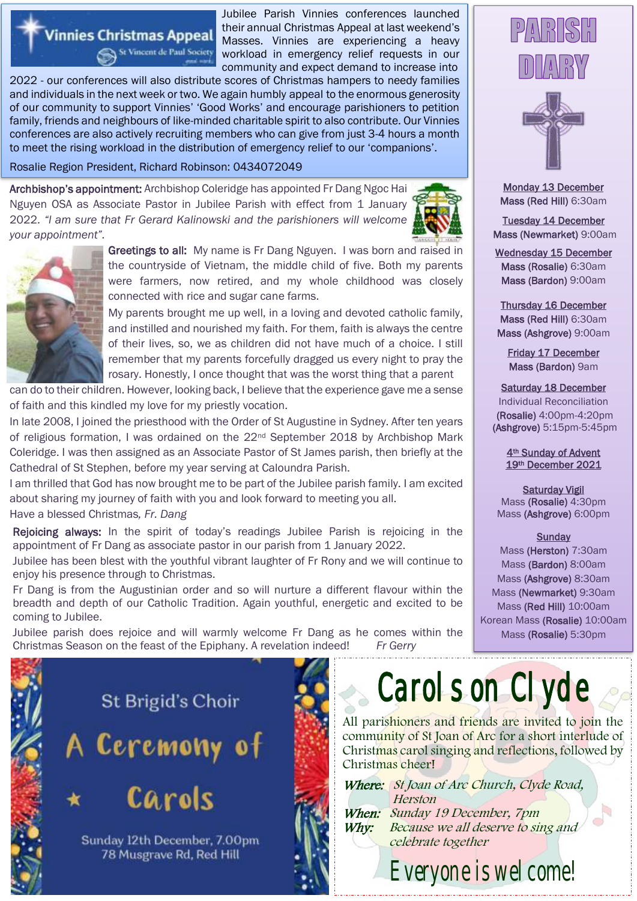#### Jubilee Parish Vinnies conferences launched their annual Christmas Appeal at last weekend's Masses. Vinnies are experiencing a heavy workload in emergency relief requests in our community and expect demand to increase into

2022 - our conferences will also distribute scores of Christmas hampers to needy families and individuals in the next week or two. We again humbly appeal to the enormous generosity of our community to support Vinnies' 'Good Works' and encourage parishioners to petition family, friends and neighbours of like-minded charitable spirit to also contribute. Our Vinnies conferences are also actively recruiting members who can give from just 3-4 hours a month to meet the rising workload in the distribution of emergency relief to our 'companions'.

Rosalie Region President, Richard Robinson: 0434072049

St Vincent de Paul Society

**Vinnies Christmas Appeal** 

Archbishop's appointment: Archbishop Coleridge has appointed Fr Dang Ngoc Hai Nguyen OSA as Associate Pastor in Jubilee Parish with effect from 1 January 2022. *"l am sure that Fr Gerard Kalinowski and the parishioners will welcome your appointment".*





Greetings to all: My name is Fr Dang Nguyen. I was born and raised in the countryside of Vietnam, the middle child of five. Both my parents were farmers, now retired, and my whole childhood was closely connected with rice and sugar cane farms.

My parents brought me up well, in a loving and devoted catholic family, and instilled and nourished my faith. For them, faith is always the centre of their lives, so, we as children did not have much of a choice. I still remember that my parents forcefully dragged us every night to pray the rosary. Honestly, I once thought that was the worst thing that a parent

can do to their children. However, looking back, I believe that the experience gave me a sense of faith and this kindled my love for my priestly vocation.

In late 2008, I joined the priesthood with the Order of St Augustine in Sydney. After ten years of religious formation, I was ordained on the 22nd September 2018 by Archbishop Mark Coleridge. I was then assigned as an Associate Pastor of St James parish, then briefly at the Cathedral of St Stephen, before my year serving at Caloundra Parish.

I am thrilled that God has now brought me to be part of the Jubilee parish family. I am excited about sharing my journey of faith with you and look forward to meeting you all.

Have a blessed Christmas*, Fr. Dang*

Rejoicing always: In the spirit of today's readings Jubilee Parish is rejoicing in the appointment of Fr Dang as associate pastor in our parish from 1 January 2022.

Jubilee has been blest with the youthful vibrant laughter of Fr Rony and we will continue to enjoy his presence through to Christmas.

Fr Dang is from the Augustinian order and so will nurture a different flavour within the breadth and depth of our Catholic Tradition. Again youthful, energetic and excited to be coming to Jubilee.

Jubilee parish does rejoice and will warmly welcome Fr Dang as he comes within the Christmas Season on the feast of the Epiphany. A revelation indeed! *Fr Gerry*



# Carols on Clyde

All parishioners and friends are invited to join the community of St Joan of Arc for a short interlude of Christmas carol singing and reflections, followed by Christmas cheer!

*Why:* Where: St Joan of Arc Church, Clyde Road, Herston When: Sunday 19 December, 7pm Because we all deserve to sing and celebrate together

Everyone is welcome!





Monday 13 December Mass (Red Hill) 6:30am

Tuesday 14 December Mass (Newmarket) 9:00am

Wednesday 15 December Mass (Rosalie) 6:30am Mass (Bardon) 9:00am

Thursday 16 December Mass (Red Hill) 6:30am Mass (Ashgrove) 9:00am

Friday 17 December Mass (Bardon) 9am

#### Saturday 18 December

Individual Reconciliation (Rosalie) 4:00pm-4:20pm (Ashgrove) 5:15pm-5:45pm

> 4th Sunday of Advent 19th December 2021

Saturday Vigil Mass (Rosalie) 4:30pm Mass (Ashgrove) 6:00pm

#### **Sunday**

Mass (Herston) 7:30am Mass (Bardon) 8:00am Mass (Ashgrove) 8:30am Mass (Newmarket) 9:30am Mass (Red Hill) 10:00am Korean Mass (Rosalie) 10:00am Mass (Rosalie) 5:30pm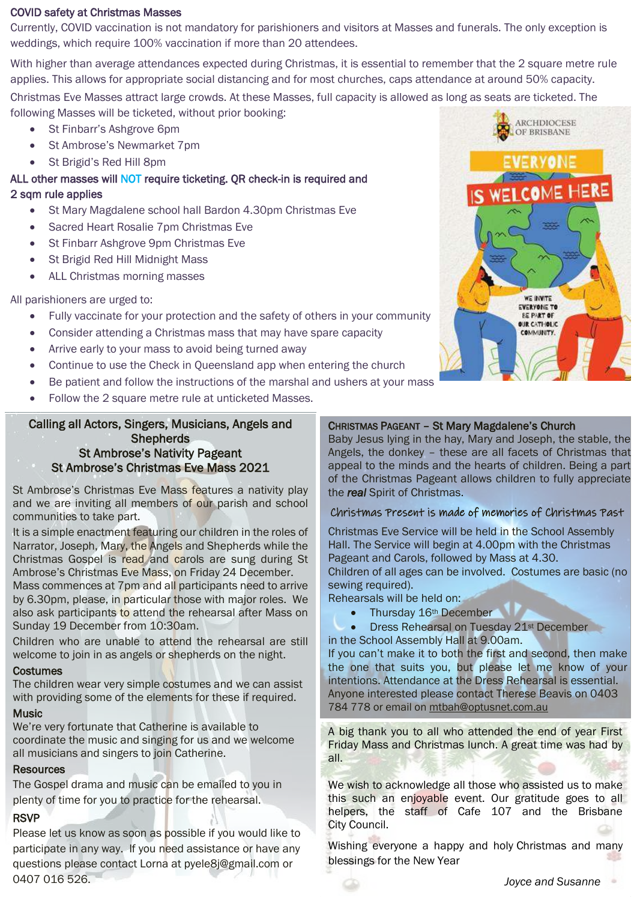#### COVID safety at Christmas Masses

Currently, COVID vaccination is not mandatory for parishioners and visitors at Masses and funerals. The only exception is weddings, which require 100% vaccination if more than 20 attendees.

With higher than average attendances expected during Christmas, it is essential to remember that the 2 square metre rule applies. This allows for appropriate social distancing and for most churches, caps attendance at around 50% capacity. Christmas Eve Masses attract large crowds. At these Masses, full capacity is allowed as long as seats are ticketed. The following Masses will be ticketed, without prior booking: **ARCHDIOCESE** 

- St Finbarr's Ashgrove 6pm
- St Ambrose's Newmarket 7pm
- St Brigid's Red Hill 8pm

#### ALL other masses will NOT require ticketing. QR check-in is required and 2 sqm rule applies

- St Mary Magdalene school hall Bardon 4.30pm Christmas Eve
- Sacred Heart Rosalie 7pm Christmas Eve
- St Finbarr Ashgrove 9pm Christmas Eve
- St Brigid Red Hill Midnight Mass
- ALL Christmas morning masses

All parishioners are urged to:

- Fully vaccinate for your protection and the safety of others in your community
- Consider attending a Christmas mass that may have spare capacity
- Arrive early to your mass to avoid being turned away
- Continue to use the Check in Queensland app when entering the church
- Be patient and follow the instructions of the marshal and ushers at your mass
- Follow the 2 square metre rule at unticketed Masses.

#### Calling all Actors, Singers, Musicians, Angels and **Shepherds** St Ambrose's Nativity Pageant St Ambrose's Christmas Eve Mass 2021

St Ambrose's Christmas Eve Mass features a nativity play and we are inviting all members of our parish and school communities to take part.

It is a simple enactment featuring our children in the roles of Narrator, Joseph, Mary, the Angels and Shepherds while the Christmas Gospel is read and carols are sung during St Ambrose's Christmas Eve Mass, on Friday 24 December.

Mass commences at 7pm and all participants need to arrive by 6.30pm, please, in particular those with major roles. We also ask participants to attend the rehearsal after Mass on Sunday 19 December from 10:30am.

Children who are unable to attend the rehearsal are still welcome to join in as angels or shepherds on the night.

#### **Costumes**

The children wear very simple costumes and we can assist with providing some of the elements for these if required.

#### **Music**

We're very fortunate that Catherine is available to coordinate the music and singing for us and we welcome all musicians and singers to join Catherine.

#### Resources

The Gospel drama and music can be emailed to you in plenty of time for you to practice for the rehearsal.

#### RSVP

Please let us know as soon as possible if you would like to **Cly Cou** participate in any way. If you need assistance or have any questions please contact Lorna at pyele8j@gmail.com or 0407 016 526.



OF BRISBANE

#### CHRISTMAS PAGEANT – St Mary Magdalene's Church

Baby Jesus lying in the hay, Mary and Joseph, the stable, the Angels, the donkey – these are all facets of Christmas that appeal to the minds and the hearts of children. Being a part of the Christmas Pageant allows children to fully appreciate the *real* Spirit of Christmas.

#### Christmas Present is made of memories of Christmas Past

Christmas Eve Service will be held in the School Assembly Hall. The Service will begin at 4.00pm with the Christmas Pageant and Carols, followed by Mass at 4.30.

Children of all ages can be involved. Costumes are basic (no sewing required).

Rehearsals will be held on:

• Thursday 16th December

 Dress Rehearsal on Tuesday 21st December in the School Assembly Hall at 9.00am.

If you can't make it to both the first and second, then make the one that suits you, but please let me know of your intentions. Attendance at the Dress Rehearsal is essential. Anyone interested please contact Therese Beavis on 0403 784 778 or email on [mtbah@optusnet.com.au](mailto:mtbah@optusnet.com.au)

A big thank you to all who attended the end of year First Friday Mass and Christmas lunch. A great time was had by all.

We wish to acknowledge all those who assisted us to make this such an enjoyable event. Our gratitude goes to all helpers, the staff of Cafe 107 and the Brisbane City Council.

Wishing everyone a happy and holy Christmas and many blessings for the New Year